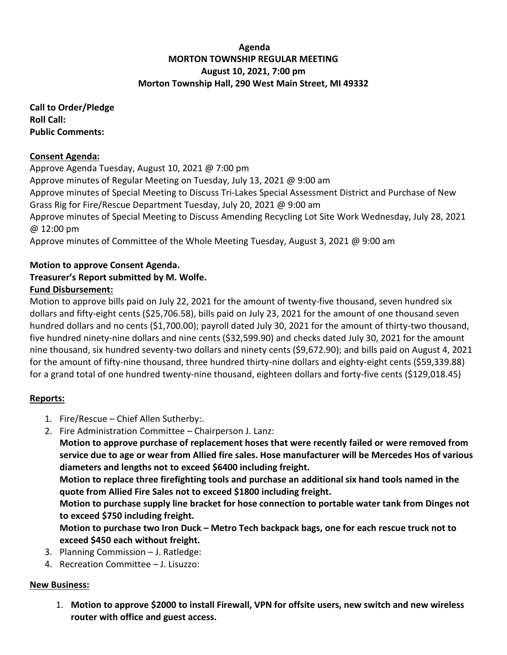## **Agenda MORTON TOWNSHIP REGULAR MEETING August 10, 2021, 7:00 pm Morton Township Hall, 290 West Main Street, MI 49332**

**Call to Order/Pledge Roll Call: Public Comments:** 

### **Consent Agenda:**

Approve Agenda Tuesday, August 10, 2021 @ 7:00 pm Approve minutes of Regular Meeting on Tuesday, July 13, 2021 @ 9:00 am Approve minutes of Special Meeting to Discuss Tri-Lakes Special Assessment District and Purchase of New Grass Rig for Fire/Rescue Department Tuesday, July 20, 2021 @ 9:00 am Approve minutes of Special Meeting to Discuss Amending Recycling Lot Site Work Wednesday, July 28, 2021 @ 12:00 pm Approve minutes of Committee of the Whole Meeting Tuesday, August 3, 2021 @ 9:00 am

# **Motion to approve Consent Agenda.**

# **Treasurer's Report submitted by M. Wolfe.**

# **Fund Disbursement:**

Motion to approve bills paid on July 22, 2021 for the amount of twenty-five thousand, seven hundred six dollars and fifty-eight cents (\$25,706.58), bills paid on July 23, 2021 for the amount of one thousand seven hundred dollars and no cents (\$1,700.00); payroll dated July 30, 2021 for the amount of thirty-two thousand, five hundred ninety-nine dollars and nine cents (\$32,599.90) and checks dated July 30, 2021 for the amount nine thousand, six hundred seventy-two dollars and ninety cents (\$9,672.90); and bills paid on August 4, 2021 for the amount of fifty-nine thousand, three hundred thirty-nine dollars and eighty-eight cents (\$59,339.88) for a grand total of one hundred twenty-nine thousand, eighteen dollars and forty-five cents (\$129,018.45)

## **Reports:**

- 1. Fire/Rescue Chief Allen Sutherby:.
- 2. Fire Administration Committee Chairperson J. Lanz:

**Motion to approve purchase of replacement hoses that were recently failed or were removed from service due to age or wear from Allied fire sales. Hose manufacturer will be Mercedes Hos of various diameters and lengths not to exceed \$6400 including freight.**

**Motion to replace three firefighting tools and purchase an additional six hand tools named in the quote from Allied Fire Sales not to exceed \$1800 including freight.**

**Motion to purchase supply line bracket for hose connection to portable water tank from Dinges not to exceed \$750 including freight.**

**Motion to purchase two Iron Duck – Metro Tech backpack bags, one for each rescue truck not to exceed \$450 each without freight.**

- 3. Planning Commission J. Ratledge:
- 4. Recreation Committee J. Lisuzzo:

## **New Business:**

1. **Motion to approve \$2000 to install Firewall, VPN for offsite users, new switch and new wireless router with office and guest access.**